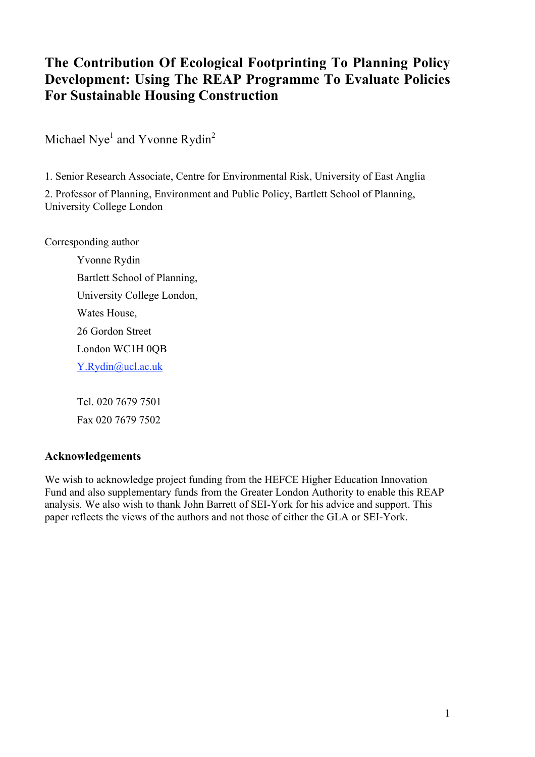# The Contribution Of Ecological Footprinting To Planning Policy Development: Using The REAP Programme To Evaluate Policies For Sustainable Housing Construction

Michael Nye<sup>1</sup> and Yvonne Rydin<sup>2</sup>

1. Senior Research Associate, Centre for Environmental Risk, University of East Anglia

2. Professor of Planning, Environment and Public Policy, Bartlett School of Planning, University College London

## Corresponding author

Yvonne Rydin Bartlett School of Planning, University College London, Wates House, 26 Gordon Street London WC1H 0QB Y.Rydin@ucl.ac.uk

Tel. 020 7679 7501 Fax 020 7679 7502

## Acknowledgements

We wish to acknowledge project funding from the HEFCE Higher Education Innovation Fund and also supplementary funds from the Greater London Authority to enable this REAP analysis. We also wish to thank John Barrett of SEI-York for his advice and support. This paper reflects the views of the authors and not those of either the GLA or SEI-York.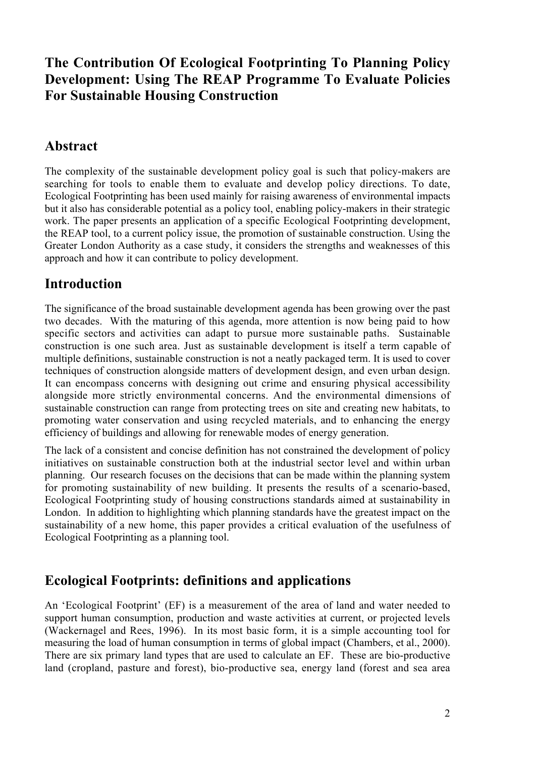# The Contribution Of Ecological Footprinting To Planning Policy Development: Using The REAP Programme To Evaluate Policies For Sustainable Housing Construction

## Abstract

The complexity of the sustainable development policy goal is such that policy-makers are searching for tools to enable them to evaluate and develop policy directions. To date, Ecological Footprinting has been used mainly for raising awareness of environmental impacts but it also has considerable potential as a policy tool, enabling policy-makers in their strategic work. The paper presents an application of a specific Ecological Footprinting development, the REAP tool, to a current policy issue, the promotion of sustainable construction. Using the Greater London Authority as a case study, it considers the strengths and weaknesses of this approach and how it can contribute to policy development.

## Introduction

The significance of the broad sustainable development agenda has been growing over the past two decades. With the maturing of this agenda, more attention is now being paid to how specific sectors and activities can adapt to pursue more sustainable paths. Sustainable construction is one such area. Just as sustainable development is itself a term capable of multiple definitions, sustainable construction is not a neatly packaged term. It is used to cover techniques of construction alongside matters of development design, and even urban design. It can encompass concerns with designing out crime and ensuring physical accessibility alongside more strictly environmental concerns. And the environmental dimensions of sustainable construction can range from protecting trees on site and creating new habitats, to promoting water conservation and using recycled materials, and to enhancing the energy efficiency of buildings and allowing for renewable modes of energy generation.

The lack of a consistent and concise definition has not constrained the development of policy initiatives on sustainable construction both at the industrial sector level and within urban planning. Our research focuses on the decisions that can be made within the planning system for promoting sustainability of new building. It presents the results of a scenario-based, Ecological Footprinting study of housing constructions standards aimed at sustainability in London. In addition to highlighting which planning standards have the greatest impact on the sustainability of a new home, this paper provides a critical evaluation of the usefulness of Ecological Footprinting as a planning tool.

## Ecological Footprints: definitions and applications

An 'Ecological Footprint' (EF) is a measurement of the area of land and water needed to support human consumption, production and waste activities at current, or projected levels (Wackernagel and Rees, 1996). In its most basic form, it is a simple accounting tool for measuring the load of human consumption in terms of global impact (Chambers, et al., 2000). There are six primary land types that are used to calculate an EF. These are bio-productive land (cropland, pasture and forest), bio-productive sea, energy land (forest and sea area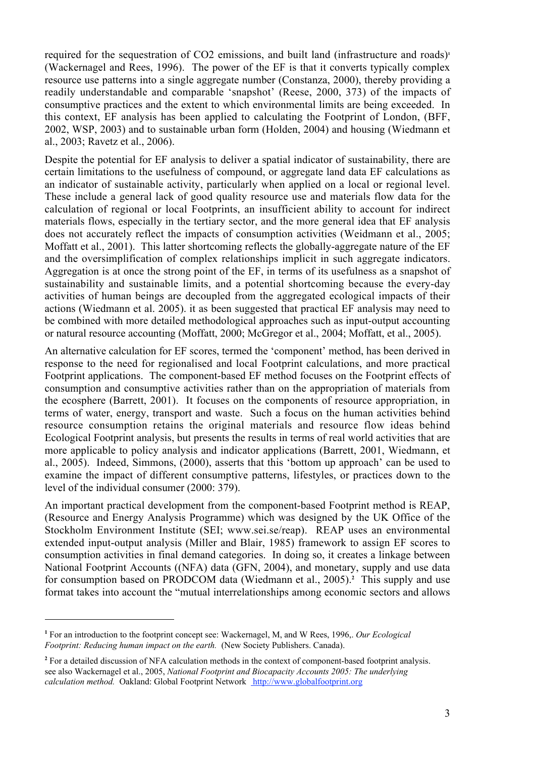required for the sequestration of CO2 emissions, and built land (infrastructure and roads)<sup>1</sup> (Wackernagel and Rees, 1996). The power of the EF is that it converts typically complex resource use patterns into a single aggregate number (Constanza, 2000), thereby providing a readily understandable and comparable 'snapshot' (Reese, 2000, 373) of the impacts of consumptive practices and the extent to which environmental limits are being exceeded. In this context, EF analysis has been applied to calculating the Footprint of London, (BFF, 2002, WSP, 2003) and to sustainable urban form (Holden, 2004) and housing (Wiedmann et al., 2003; Ravetz et al., 2006).

Despite the potential for EF analysis to deliver a spatial indicator of sustainability, there are certain limitations to the usefulness of compound, or aggregate land data EF calculations as an indicator of sustainable activity, particularly when applied on a local or regional level. These include a general lack of good quality resource use and materials flow data for the calculation of regional or local Footprints, an insufficient ability to account for indirect materials flows, especially in the tertiary sector, and the more general idea that EF analysis does not accurately reflect the impacts of consumption activities (Weidmann et al., 2005; Moffatt et al., 2001). This latter shortcoming reflects the globally-aggregate nature of the EF and the oversimplification of complex relationships implicit in such aggregate indicators. Aggregation is at once the strong point of the EF, in terms of its usefulness as a snapshot of sustainability and sustainable limits, and a potential shortcoming because the every-day activities of human beings are decoupled from the aggregated ecological impacts of their actions (Wiedmann et al. 2005). it as been suggested that practical EF analysis may need to be combined with more detailed methodological approaches such as input-output accounting or natural resource accounting (Moffatt, 2000; McGregor et al., 2004; Moffatt, et al., 2005).

An alternative calculation for EF scores, termed the 'component' method, has been derived in response to the need for regionalised and local Footprint calculations, and more practical Footprint applications. The component-based EF method focuses on the Footprint effects of consumption and consumptive activities rather than on the appropriation of materials from the ecosphere (Barrett, 2001). It focuses on the components of resource appropriation, in terms of water, energy, transport and waste. Such a focus on the human activities behind resource consumption retains the original materials and resource flow ideas behind Ecological Footprint analysis, but presents the results in terms of real world activities that are more applicable to policy analysis and indicator applications (Barrett, 2001, Wiedmann, et al., 2005). Indeed, Simmons, (2000), asserts that this 'bottom up approach' can be used to examine the impact of different consumptive patterns, lifestyles, or practices down to the level of the individual consumer (2000: 379).

An important practical development from the component-based Footprint method is REAP, (Resource and Energy Analysis Programme) which was designed by the UK Office of the Stockholm Environment Institute (SEI; www.sei.se/reap). REAP uses an environmental extended input-output analysis (Miller and Blair, 1985) framework to assign EF scores to consumption activities in final demand categories. In doing so, it creates a linkage between National Footprint Accounts ((NFA) data (GFN, 2004), and monetary, supply and use data for consumption based on PRODCOM data (Wiedmann et al., 2005).<sup>2</sup> This supply and use format takes into account the "mutual interrelationships among economic sectors and allows

 $\overline{a}$ 

<sup>1</sup> For an introduction to the footprint concept see: Wackernagel, M, and W Rees, 1996,. *Our Ecological Footprint: Reducing human impact on the earth.* (New Society Publishers. Canada).

<sup>&</sup>lt;sup>2</sup> For a detailed discussion of NFA calculation methods in the context of component-based footprint analysis. see also Wackernagel et al., 2005, *National Footprint and Biocapacity Accounts 2005: The underlying calculation method.* Oakland: Global Footprint Network http://www.globalfootprint.org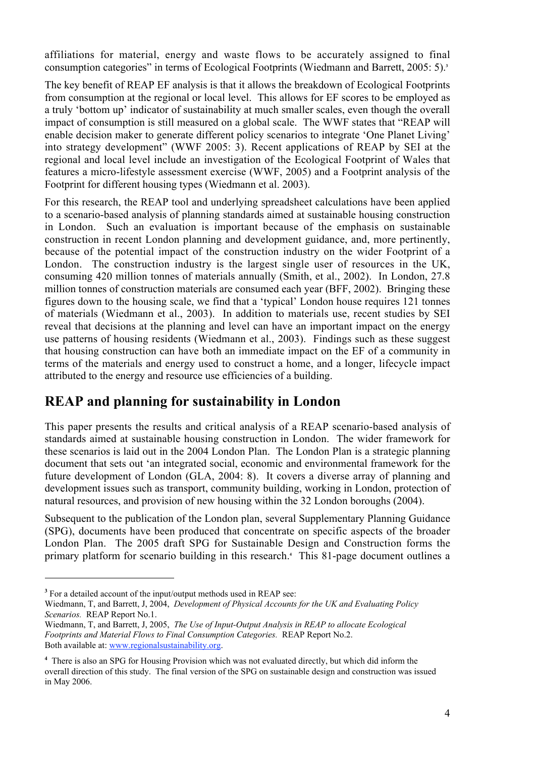affiliations for material, energy and waste flows to be accurately assigned to final consumption categories" in terms of Ecological Footprints (Wiedmann and Barrett, 2005: 5).<sup>3</sup>

The key benefit of REAP EF analysis is that it allows the breakdown of Ecological Footprints from consumption at the regional or local level. This allows for EF scores to be employed as a truly 'bottom up' indicator of sustainability at much smaller scales, even though the overall impact of consumption is still measured on a global scale. The WWF states that "REAP will enable decision maker to generate different policy scenarios to integrate 'One Planet Living' into strategy development" (WWF 2005: 3). Recent applications of REAP by SEI at the regional and local level include an investigation of the Ecological Footprint of Wales that features a micro-lifestyle assessment exercise (WWF, 2005) and a Footprint analysis of the Footprint for different housing types (Wiedmann et al. 2003).

For this research, the REAP tool and underlying spreadsheet calculations have been applied to a scenario-based analysis of planning standards aimed at sustainable housing construction in London. Such an evaluation is important because of the emphasis on sustainable construction in recent London planning and development guidance, and, more pertinently, because of the potential impact of the construction industry on the wider Footprint of a London. The construction industry is the largest single user of resources in the UK, consuming 420 million tonnes of materials annually (Smith, et al., 2002). In London, 27.8 million tonnes of construction materials are consumed each year (BFF, 2002). Bringing these figures down to the housing scale, we find that a 'typical' London house requires 121 tonnes of materials (Wiedmann et al., 2003). In addition to materials use, recent studies by SEI reveal that decisions at the planning and level can have an important impact on the energy use patterns of housing residents (Wiedmann et al., 2003). Findings such as these suggest that housing construction can have both an immediate impact on the EF of a community in terms of the materials and energy used to construct a home, and a longer, lifecycle impact attributed to the energy and resource use efficiencies of a building.

## REAP and planning for sustainability in London

This paper presents the results and critical analysis of a REAP scenario-based analysis of standards aimed at sustainable housing construction in London. The wider framework for these scenarios is laid out in the 2004 London Plan. The London Plan is a strategic planning document that sets out 'an integrated social, economic and environmental framework for the future development of London (GLA, 2004: 8). It covers a diverse array of planning and development issues such as transport, community building, working in London, protection of natural resources, and provision of new housing within the 32 London boroughs (2004).

Subsequent to the publication of the London plan, several Supplementary Planning Guidance (SPG), documents have been produced that concentrate on specific aspects of the broader London Plan. The 2005 draft SPG for Sustainable Design and Construction forms the primary platform for scenario building in this research.<sup>4</sup> This 81-page document outlines a

 $\overline{a}$ 

<sup>&</sup>lt;sup>3</sup> For a detailed account of the input/output methods used in REAP see:

Wiedmann, T, and Barrett, J, 2004, *Development of Physical Accounts for the UK and Evaluating Policy Scenarios.* REAP Report No.1.

Wiedmann, T, and Barrett, J, 2005, *The Use of Input-Output Analysis in REAP to allocate Ecological Footprints and Material Flows to Final Consumption Categories.* REAP Report No.2. Both available at: www.regionalsustainability.org.

<sup>4</sup> There is also an SPG for Housing Provision which was not evaluated directly, but which did inform the overall direction of this study. The final version of the SPG on sustainable design and construction was issued in May 2006.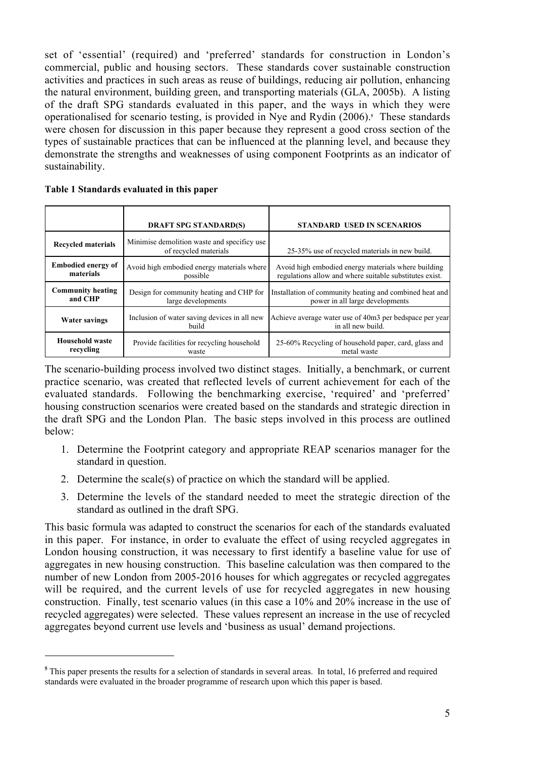set of 'essential' (required) and 'preferred' standards for construction in London's commercial, public and housing sectors. These standards cover sustainable construction activities and practices in such areas as reuse of buildings, reducing air pollution, enhancing the natural environment, building green, and transporting materials (GLA, 2005b). A listing of the draft SPG standards evaluated in this paper, and the ways in which they were operationalised for scenario testing, is provided in Nye and Rydin (2006).<sup>5</sup> These standards were chosen for discussion in this paper because they represent a good cross section of the types of sustainable practices that can be influenced at the planning level, and because they demonstrate the strengths and weaknesses of using component Footprints as an indicator of sustainability.

|                           | <b>DRAFT SPG STANDARD(S)</b>                                         | <b>STANDARD USED IN SCENARIOS</b>                                            |
|---------------------------|----------------------------------------------------------------------|------------------------------------------------------------------------------|
| <b>Recycled materials</b> | Minimise demolition waste and specificy use<br>of recycled materials | 25-35% use of recycled materials in new build.                               |
| <b>Embodied energy of</b> | Avoid high embodied energy materials where                           | Avoid high embodied energy materials where building                          |
| materials                 | possible                                                             | regulations allow and where suitable substitutes exist.                      |
| <b>Community heating</b>  | Design for community heating and CHP for                             | Installation of community heating and combined heat and                      |
| and CHP                   | large developments                                                   | power in all large developments                                              |
| <b>Water savings</b>      | Inclusion of water saving devices in all new<br>build                | Achieve average water use of 40m3 per bedspace per year<br>in all new build. |
| Household waste           | Provide facilities for recycling household                           | 25-60% Recycling of household paper, card, glass and                         |
| recycling                 | waste                                                                | metal waste                                                                  |

Table 1 Standards evaluated in this paper

 $\overline{a}$ 

The scenario-building process involved two distinct stages. Initially, a benchmark, or current practice scenario, was created that reflected levels of current achievement for each of the evaluated standards. Following the benchmarking exercise, 'required' and 'preferred' housing construction scenarios were created based on the standards and strategic direction in the draft SPG and the London Plan. The basic steps involved in this process are outlined below:

- 1. Determine the Footprint category and appropriate REAP scenarios manager for the standard in question.
- 2. Determine the scale(s) of practice on which the standard will be applied.
- 3. Determine the levels of the standard needed to meet the strategic direction of the standard as outlined in the draft SPG.

This basic formula was adapted to construct the scenarios for each of the standards evaluated in this paper. For instance, in order to evaluate the effect of using recycled aggregates in London housing construction, it was necessary to first identify a baseline value for use of aggregates in new housing construction. This baseline calculation was then compared to the number of new London from 2005-2016 houses for which aggregates or recycled aggregates will be required, and the current levels of use for recycled aggregates in new housing construction. Finally, test scenario values (in this case a 10% and 20% increase in the use of recycled aggregates) were selected. These values represent an increase in the use of recycled aggregates beyond current use levels and 'business as usual' demand projections.

<sup>&</sup>lt;sup>5</sup> This paper presents the results for a selection of standards in several areas. In total, 16 preferred and required standards were evaluated in the broader programme of research upon which this paper is based.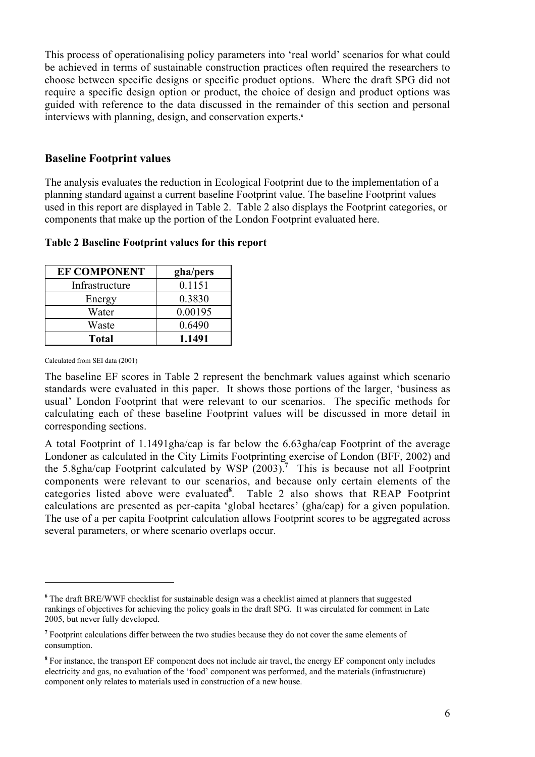This process of operationalising policy parameters into 'real world' scenarios for what could be achieved in terms of sustainable construction practices often required the researchers to choose between specific designs or specific product options. Where the draft SPG did not require a specific design option or product, the choice of design and product options was guided with reference to the data discussed in the remainder of this section and personal interviews with planning, design, and conservation experts.<sup>6</sup>

### Baseline Footprint values

The analysis evaluates the reduction in Ecological Footprint due to the implementation of a planning standard against a current baseline Footprint value. The baseline Footprint values used in this report are displayed in Table 2. Table 2 also displays the Footprint categories, or components that make up the portion of the London Footprint evaluated here.

#### Table 2 Baseline Footprint values for this report

| <b>EF COMPONENT</b> | gha/pers |
|---------------------|----------|
| Infrastructure      | 0.1151   |
| Energy              | 0.3830   |
| Water               | 0.00195  |
| Waste               | 0.6490   |
| Total               | 1.1491   |

Calculated from SEI data (2001)

 $\overline{a}$ 

The baseline EF scores in Table 2 represent the benchmark values against which scenario standards were evaluated in this paper. It shows those portions of the larger, 'business as usual' London Footprint that were relevant to our scenarios. The specific methods for calculating each of these baseline Footprint values will be discussed in more detail in corresponding sections.

A total Footprint of 1.1491gha/cap is far below the 6.63gha/cap Footprint of the average Londoner as calculated in the City Limits Footprinting exercise of London (BFF, 2002) and the 5.8gha/cap Footprint calculated by WSP  $(2003)$ .<sup>7</sup> This is because not all Footprint components were relevant to our scenarios, and because only certain elements of the categories listed above were evaluated<sup>8</sup>. Table 2 also shows that REAP Footprint calculations are presented as per-capita 'global hectares' (gha/cap) for a given population. The use of a per capita Footprint calculation allows Footprint scores to be aggregated across several parameters, or where scenario overlaps occur.

<sup>6</sup> The draft BRE/WWF checklist for sustainable design was a checklist aimed at planners that suggested rankings of objectives for achieving the policy goals in the draft SPG. It was circulated for comment in Late 2005, but never fully developed.

<sup>&</sup>lt;sup>7</sup> Footprint calculations differ between the two studies because they do not cover the same elements of consumption.

<sup>&</sup>lt;sup>8</sup> For instance, the transport EF component does not include air travel, the energy EF component only includes electricity and gas, no evaluation of the 'food' component was performed, and the materials (infrastructure) component only relates to materials used in construction of a new house.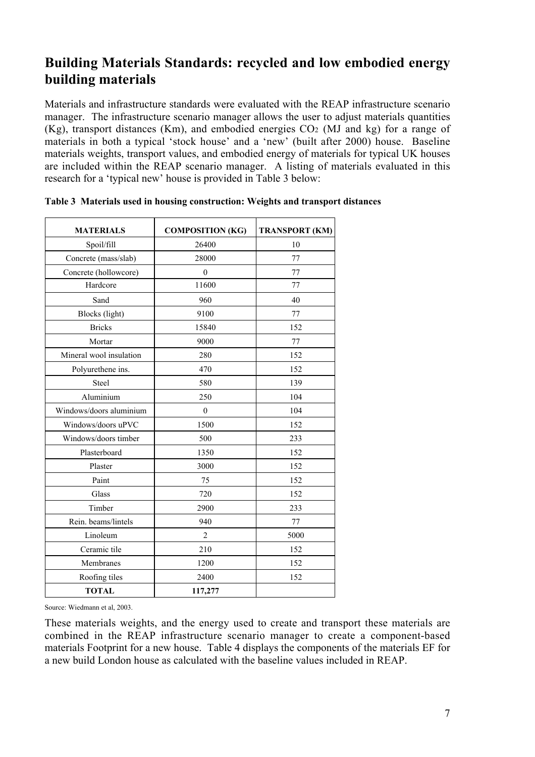# Building Materials Standards: recycled and low embodied energy building materials

Materials and infrastructure standards were evaluated with the REAP infrastructure scenario manager. The infrastructure scenario manager allows the user to adjust materials quantities (Kg), transport distances (Km), and embodied energies CO2 (MJ and kg) for a range of materials in both a typical 'stock house' and a 'new' (built after 2000) house. Baseline materials weights, transport values, and embodied energy of materials for typical UK houses are included within the REAP scenario manager. A listing of materials evaluated in this research for a 'typical new' house is provided in Table 3 below:

| <b>MATERIALS</b>        | <b>COMPOSITION (KG)</b> | <b>TRANSPORT (KM)</b> |
|-------------------------|-------------------------|-----------------------|
| Spoil/fill              | 26400                   | 10                    |
| Concrete (mass/slab)    | 28000                   | 77                    |
| Concrete (hollowcore)   | $\theta$                | 77                    |
| Hardcore                | 11600                   | 77                    |
| Sand                    | 960                     | 40                    |
| Blocks (light)          | 9100                    | 77                    |
| <b>Bricks</b>           | 15840                   | 152                   |
| Mortar                  | 9000                    | 77                    |
| Mineral wool insulation | 280                     | 152                   |
| Polyurethene ins.       | 470                     | 152                   |
| Steel                   | 580                     | 139                   |
| Aluminium               | 250                     | 104                   |
| Windows/doors aluminium | $\theta$                | 104                   |
| Windows/doors uPVC      | 1500                    | 152                   |
| Windows/doors timber    | 500                     | 233                   |
| Plasterboard            | 1350                    | 152                   |
| Plaster                 | 3000                    | 152                   |
| Paint                   | 75                      | 152                   |
| Glass                   | 720                     | 152                   |
| Timber                  | 2900                    | 233                   |
| Rein. beams/lintels     | 940                     | 77                    |
| Linoleum                | $\overline{2}$          | 5000                  |
| Ceramic tile            | 210                     | 152                   |
| Membranes               | 1200                    | 152                   |
| Roofing tiles           | 2400                    | 152                   |
| <b>TOTAL</b>            | 117,277                 |                       |

| Table 3 Materials used in housing construction: Weights and transport distances |  |  |  |
|---------------------------------------------------------------------------------|--|--|--|
|                                                                                 |  |  |  |

Source: Wiedmann et al, 2003.

These materials weights, and the energy used to create and transport these materials are combined in the REAP infrastructure scenario manager to create a component-based materials Footprint for a new house. Table 4 displays the components of the materials EF for a new build London house as calculated with the baseline values included in REAP.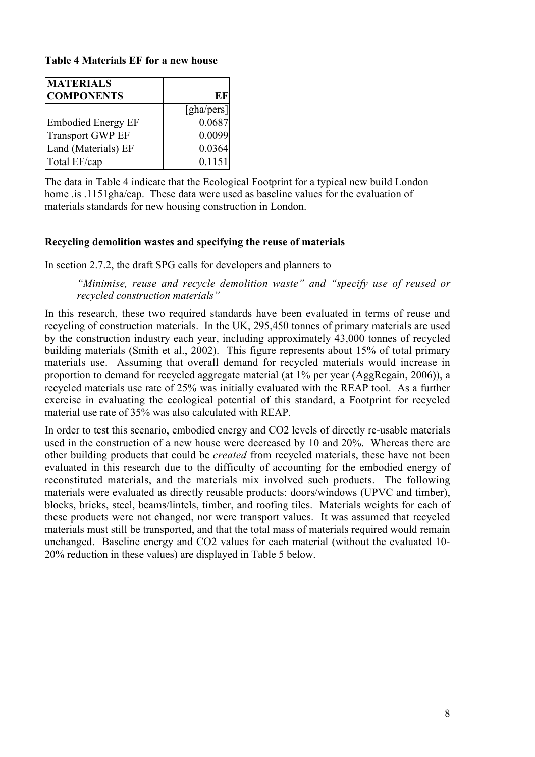#### Table 4 Materials EF for a new house

| <b>MATERIALS</b>          |                     |
|---------------------------|---------------------|
| <b>COMPONENTS</b>         | EF                  |
|                           | [gha/pers]          |
| <b>Embodied Energy EF</b> | 0.0687              |
| <b>Transport GWP EF</b>   | 0.0099              |
| Land (Materials) EF       | 0.0364              |
| Total EF/cap              | $0.\overline{1151}$ |

The data in Table 4 indicate that the Ecological Footprint for a typical new build London home .is .1151gha/cap. These data were used as baseline values for the evaluation of materials standards for new housing construction in London.

#### Recycling demolition wastes and specifying the reuse of materials

In section 2.7.2, the draft SPG calls for developers and planners to

*"Minimise, reuse and recycle demolition waste" and "specify use of reused or recycled construction materials"*

In this research, these two required standards have been evaluated in terms of reuse and recycling of construction materials. In the UK, 295,450 tonnes of primary materials are used by the construction industry each year, including approximately 43,000 tonnes of recycled building materials (Smith et al., 2002). This figure represents about 15% of total primary materials use. Assuming that overall demand for recycled materials would increase in proportion to demand for recycled aggregate material (at 1% per year (AggRegain, 2006)), a recycled materials use rate of 25% was initially evaluated with the REAP tool. As a further exercise in evaluating the ecological potential of this standard, a Footprint for recycled material use rate of 35% was also calculated with REAP.

In order to test this scenario, embodied energy and CO2 levels of directly re-usable materials used in the construction of a new house were decreased by 10 and 20%. Whereas there are other building products that could be *created* from recycled materials, these have not been evaluated in this research due to the difficulty of accounting for the embodied energy of reconstituted materials, and the materials mix involved such products. The following materials were evaluated as directly reusable products: doors/windows (UPVC and timber), blocks, bricks, steel, beams/lintels, timber, and roofing tiles. Materials weights for each of these products were not changed, nor were transport values. It was assumed that recycled materials must still be transported, and that the total mass of materials required would remain unchanged. Baseline energy and CO2 values for each material (without the evaluated 10- 20% reduction in these values) are displayed in Table 5 below.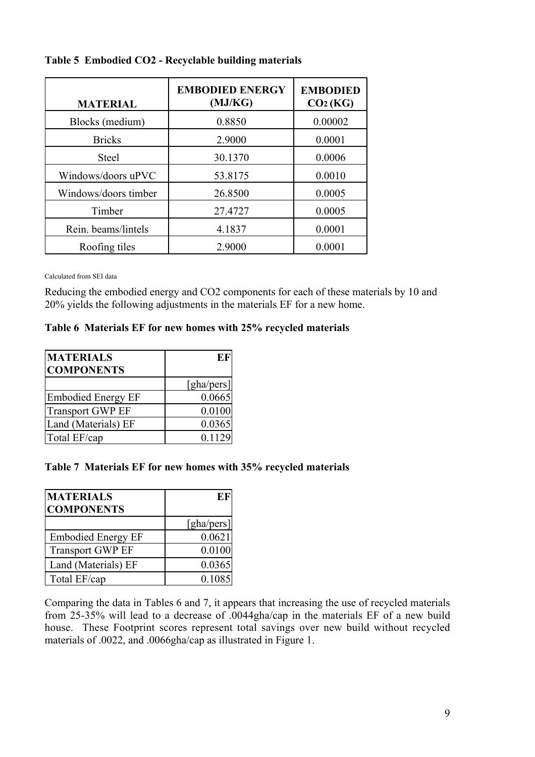| <b>MATERIAL</b>      | <b>EMBODIED ENERGY</b><br>(MJ/KG) | <b>EMBODIED</b><br>CO <sub>2</sub> (KG) |
|----------------------|-----------------------------------|-----------------------------------------|
| Blocks (medium)      | 0.8850                            | 0.00002                                 |
| <b>Bricks</b>        | 2.9000                            | 0.0001                                  |
| <b>Steel</b>         | 30.1370                           | 0.0006                                  |
| Windows/doors uPVC   | 53.8175                           | 0.0010                                  |
| Windows/doors timber | 26.8500                           | 0.0005                                  |
| Timber               | 27.4727                           | 0.0005                                  |
| Rein. beams/lintels  | 4.1837                            | 0.0001                                  |
| Roofing tiles        | 2.9000                            | 0.0001                                  |

## Table 5 Embodied CO2 - Recyclable building materials

Calculated from SEI data

Reducing the embodied energy and CO2 components for each of these materials by 10 and 20% yields the following adjustments in the materials EF for a new home.

## Table 6 Materials EF for new homes with 25% recycled materials

| <b>MATERIALS</b>          | E.         |
|---------------------------|------------|
| <b>COMPONENTS</b>         |            |
|                           | [gha/pers] |
| <b>Embodied Energy EF</b> | 0.0665     |
| Transport GWP EF          | 0.0100     |
| Land (Materials) EF       | 0.0365     |
| Total EF/cap              | 0.1129     |

### Table 7 Materials EF for new homes with 35% recycled materials

| <b>MATERIALS</b>          | EF         |
|---------------------------|------------|
| <b>COMPONENTS</b>         |            |
|                           | [gha/pers] |
| <b>Embodied Energy EF</b> | 0.0621     |
| <b>Transport GWP EF</b>   | 0.0100     |
| Land (Materials) EF       | 0.0365     |
| Total EF/cap              | 0.1085     |

Comparing the data in Tables 6 and 7, it appears that increasing the use of recycled materials from 25-35% will lead to a decrease of .0044gha/cap in the materials EF of a new build house. These Footprint scores represent total savings over new build without recycled materials of .0022, and .0066gha/cap as illustrated in Figure 1.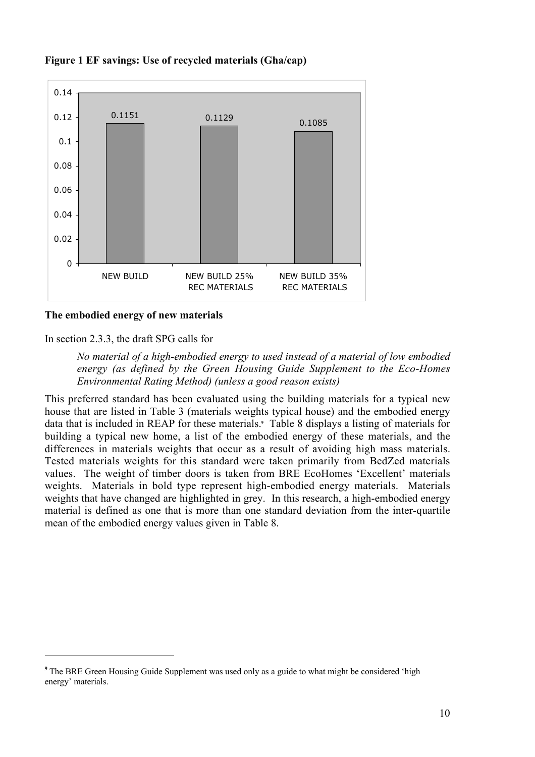

Figure 1 EF savings: Use of recycled materials (Gha/cap)

#### The embodied energy of new materials

In section 2.3.3, the draft SPG calls for

 $\overline{a}$ 

*No material of a high-embodied energy to used instead of a material of low embodied energy (as defined by the Green Housing Guide Supplement to the Eco-Homes Environmental Rating Method) (unless a good reason exists)*

This preferred standard has been evaluated using the building materials for a typical new house that are listed in Table 3 (materials weights typical house) and the embodied energy data that is included in REAP for these materials.<sup>9</sup> Table 8 displays a listing of materials for building a typical new home, a list of the embodied energy of these materials, and the differences in materials weights that occur as a result of avoiding high mass materials. Tested materials weights for this standard were taken primarily from BedZed materials values. The weight of timber doors is taken from BRE EcoHomes 'Excellent' materials weights. Materials in bold type represent high-embodied energy materials. Materials weights that have changed are highlighted in grey. In this research, a high-embodied energy material is defined as one that is more than one standard deviation from the inter-quartile mean of the embodied energy values given in Table 8.

<sup>&</sup>lt;sup>9</sup> The BRE Green Housing Guide Supplement was used only as a guide to what might be considered 'high energy' materials.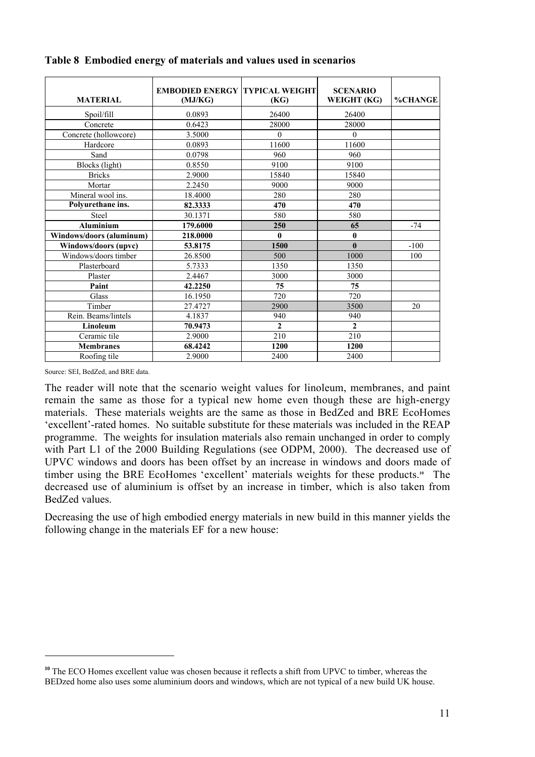|                          | <b>EMBODIED ENERGY TYPICAL WEIGHT</b> |              | <b>SCENARIO</b> |                |
|--------------------------|---------------------------------------|--------------|-----------------|----------------|
| <b>MATERIAL</b>          | (MJ/KG)                               | (KG)         | WEIGHT (KG)     | <b>%CHANGE</b> |
| Spoil/fill               | 0.0893                                | 26400        | 26400           |                |
| Concrete                 | 0.6423                                | 28000        | 28000           |                |
| Concrete (hollowcore)    | 3.5000                                | $\theta$     | $\theta$        |                |
| Hardcore                 | 0.0893                                | 11600        | 11600           |                |
| Sand                     | 0.0798                                | 960          | 960             |                |
| Blocks (light)           | 0.8550                                | 9100         | 9100            |                |
| <b>Bricks</b>            | 2.9000                                | 15840        | 15840           |                |
| Mortar                   | 2.2450                                | 9000         | 9000            |                |
| Mineral wool ins.        | 18.4000                               | 280          | 280             |                |
| Polyurethane ins.        | 82.3333                               | 470          | 470             |                |
| Steel                    | 30.1371                               | 580          | 580             |                |
| <b>Aluminium</b>         | 179.6000                              | 250          | 65              | $-74$          |
| Windows/doors (aluminum) | 218.0000                              | $\bf{0}$     | $\bf{0}$        |                |
| Windows/doors (upvc)     | 53.8175                               | 1500         | $\mathbf{0}$    | $-100$         |
| Windows/doors timber     | 26.8500                               | 500          | 1000            | 100            |
| Plasterboard             | 5.7333                                | 1350         | 1350            |                |
| Plaster                  | 2.4467                                | 3000         | 3000            |                |
| Paint                    | 42.2250                               | 75           | 75              |                |
| Glass                    | 16.1950                               | 720          | 720             |                |
| Timber                   | 27.4727                               | 2900         | 3500            | 20             |
| Rein. Beams/lintels      | 4.1837                                | 940          | 940             |                |
| Linoleum                 | 70.9473                               | $\mathbf{2}$ | $\mathbf{2}$    |                |
| Ceramic tile             | 2.9000                                | 210          | 210             |                |
| <b>Membranes</b>         | 68.4242                               | 1200         | 1200            |                |
| Roofing tile             | 2.9000                                | 2400         | 2400            |                |

#### Table 8 Embodied energy of materials and values used in scenarios

Source: SEI, BedZed, and BRE data.

 $\overline{a}$ 

The reader will note that the scenario weight values for linoleum, membranes, and paint remain the same as those for a typical new home even though these are high-energy materials. These materials weights are the same as those in BedZed and BRE EcoHomes 'excellent'-rated homes. No suitable substitute for these materials was included in the REAP programme. The weights for insulation materials also remain unchanged in order to comply with Part L1 of the 2000 Building Regulations (see ODPM, 2000). The decreased use of UPVC windows and doors has been offset by an increase in windows and doors made of timber using the BRE EcoHomes 'excellent' materials weights for these products.<sup>10</sup> The decreased use of aluminium is offset by an increase in timber, which is also taken from BedZed values.

Decreasing the use of high embodied energy materials in new build in this manner yields the following change in the materials EF for a new house:

<sup>&</sup>lt;sup>10</sup> The ECO Homes excellent value was chosen because it reflects a shift from UPVC to timber, whereas the BEDzed home also uses some aluminium doors and windows, which are not typical of a new build UK house.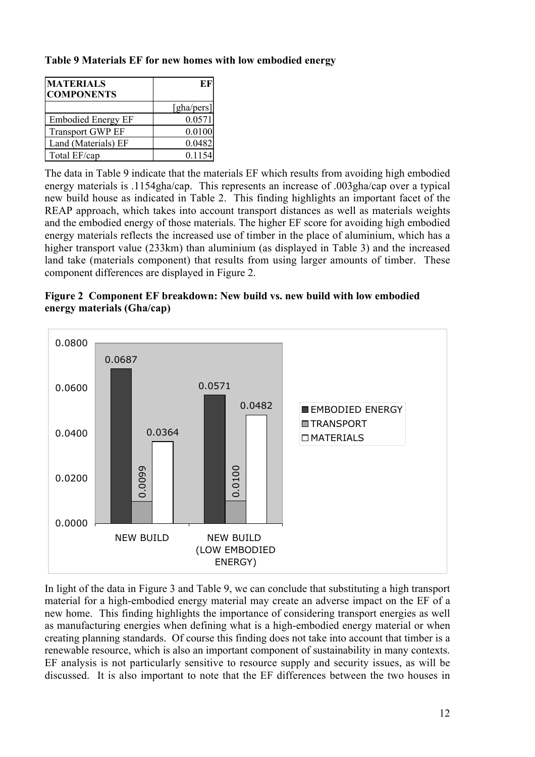Table 9 Materials EF for new homes with low embodied energy

| <b>MATERIALS</b><br><b>COMPONENTS</b> | EF         |
|---------------------------------------|------------|
|                                       | [gha/pers] |
| <b>Embodied Energy EF</b>             | 0.0571     |
| <b>Transport GWP EF</b>               | 0.0100     |
| Land (Materials) EF                   | 0.0482     |
| Total EF/cap                          | 0.1154     |

The data in Table 9 indicate that the materials EF which results from avoiding high embodied energy materials is .1154gha/cap. This represents an increase of .003gha/cap over a typical new build house as indicated in Table 2. This finding highlights an important facet of the REAP approach, which takes into account transport distances as well as materials weights and the embodied energy of those materials. The higher EF score for avoiding high embodied energy materials reflects the increased use of timber in the place of aluminium, which has a higher transport value (233km) than aluminium (as displayed in Table 3) and the increased land take (materials component) that results from using larger amounts of timber. These component differences are displayed in Figure 2.





In light of the data in Figure 3 and Table 9, we can conclude that substituting a high transport material for a high-embodied energy material may create an adverse impact on the EF of a new home. This finding highlights the importance of considering transport energies as well as manufacturing energies when defining what is a high-embodied energy material or when creating planning standards. Of course this finding does not take into account that timber is a renewable resource, which is also an important component of sustainability in many contexts. EF analysis is not particularly sensitive to resource supply and security issues, as will be discussed. It is also important to note that the EF differences between the two houses in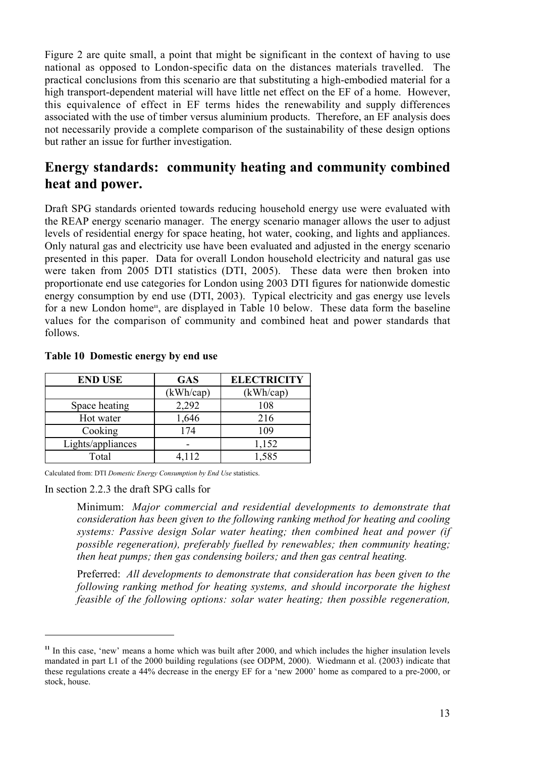Figure 2 are quite small, a point that might be significant in the context of having to use national as opposed to London-specific data on the distances materials travelled. The practical conclusions from this scenario are that substituting a high-embodied material for a high transport-dependent material will have little net effect on the EF of a home. However, this equivalence of effect in EF terms hides the renewability and supply differences associated with the use of timber versus aluminium products. Therefore, an EF analysis does not necessarily provide a complete comparison of the sustainability of these design options but rather an issue for further investigation.

# Energy standards: community heating and community combined heat and power.

Draft SPG standards oriented towards reducing household energy use were evaluated with the REAP energy scenario manager. The energy scenario manager allows the user to adjust levels of residential energy for space heating, hot water, cooking, and lights and appliances. Only natural gas and electricity use have been evaluated and adjusted in the energy scenario presented in this paper. Data for overall London household electricity and natural gas use were taken from 2005 DTI statistics (DTI, 2005). These data were then broken into proportionate end use categories for London using 2003 DTI figures for nationwide domestic energy consumption by end use (DTI, 2003). Typical electricity and gas energy use levels for a new London home", are displayed in Table 10 below. These data form the baseline values for the comparison of community and combined heat and power standards that follows.

| <b>END USE</b>    | <b>GAS</b> | <b>ELECTRICITY</b> |
|-------------------|------------|--------------------|
|                   | (kWh/cap)  | (kWh/cap)          |
| Space heating     | 2,292      | 108                |
| Hot water         | 1,646      | 216                |
| Cooking           | 174        | 109                |
| Lights/appliances |            | 1,152              |
| Total             | 4,112      | 1,585              |

#### Table 10 Domestic energy by end use

Calculated from: DTI *Domestic Energy Consumption by End Use* statistics.

#### In section 2.2.3 the draft SPG calls for

Minimum: *Major commercial and residential developments to demonstrate that consideration has been given to the following ranking method for heating and cooling systems: Passive design Solar water heating; then combined heat and power (if possible regeneration), preferably fuelled by renewables; then community heating; then heat pumps; then gas condensing boilers; and then gas central heating.*

Preferred: *All developments to demonstrate that consideration has been given to the following ranking method for heating systems, and should incorporate the highest feasible of the following options: solar water heating; then possible regeneration,*

<sup>&</sup>lt;sup>11</sup> In this case, 'new' means a home which was built after 2000, and which includes the higher insulation levels mandated in part L1 of the 2000 building regulations (see ODPM, 2000). Wiedmann et al. (2003) indicate that these regulations create a 44% decrease in the energy EF for a 'new 2000' home as compared to a pre-2000, or stock, house.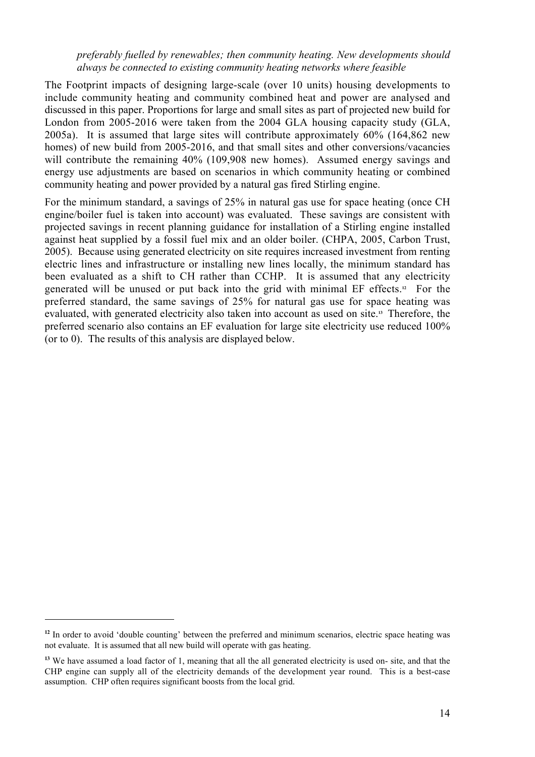#### *preferably fuelled by renewables; then community heating. New developments should always be connected to existing community heating networks where feasible*

The Footprint impacts of designing large-scale (over 10 units) housing developments to include community heating and community combined heat and power are analysed and discussed in this paper. Proportions for large and small sites as part of projected new build for London from 2005-2016 were taken from the 2004 GLA housing capacity study (GLA, 2005a). It is assumed that large sites will contribute approximately 60% (164,862 new homes) of new build from 2005-2016, and that small sites and other conversions/vacancies will contribute the remaining 40% (109,908 new homes). Assumed energy savings and energy use adjustments are based on scenarios in which community heating or combined community heating and power provided by a natural gas fired Stirling engine.

For the minimum standard, a savings of 25% in natural gas use for space heating (once CH engine/boiler fuel is taken into account) was evaluated. These savings are consistent with projected savings in recent planning guidance for installation of a Stirling engine installed against heat supplied by a fossil fuel mix and an older boiler. (CHPA, 2005, Carbon Trust, 2005). Because using generated electricity on site requires increased investment from renting electric lines and infrastructure or installing new lines locally, the minimum standard has been evaluated as a shift to CH rather than CCHP. It is assumed that any electricity generated will be unused or put back into the grid with minimal EF effects.<sup>12</sup> For the preferred standard, the same savings of 25% for natural gas use for space heating was evaluated, with generated electricity also taken into account as used on site.<sup>13</sup> Therefore, the preferred scenario also contains an EF evaluation for large site electricity use reduced 100% (or to 0). The results of this analysis are displayed below.

 $\overline{a}$ 

<sup>&</sup>lt;sup>12</sup> In order to avoid 'double counting' between the preferred and minimum scenarios, electric space heating was not evaluate. It is assumed that all new build will operate with gas heating.

<sup>&</sup>lt;sup>13</sup> We have assumed a load factor of 1, meaning that all the all generated electricity is used on- site, and that the CHP engine can supply all of the electricity demands of the development year round. This is a best-case assumption. CHP often requires significant boosts from the local grid.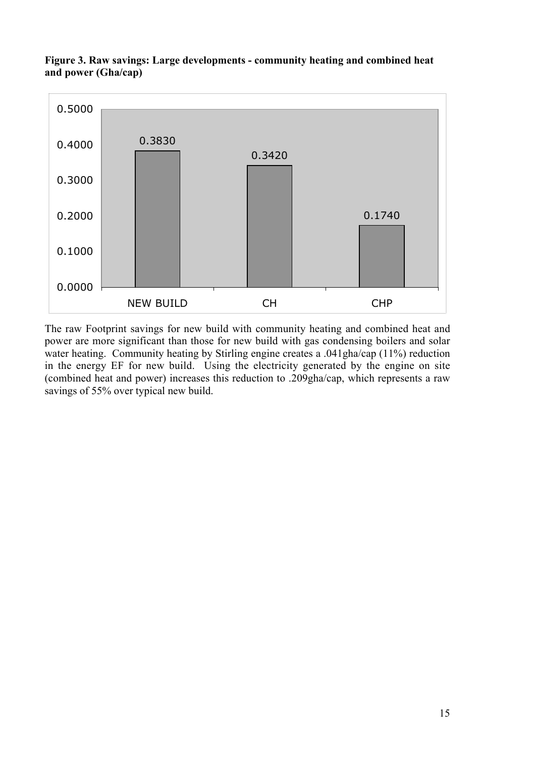

Figure 3. Raw savings: Large developments - community heating and combined heat and power (Gha/cap)

The raw Footprint savings for new build with community heating and combined heat and power are more significant than those for new build with gas condensing boilers and solar water heating. Community heating by Stirling engine creates a .041gha/cap (11%) reduction in the energy EF for new build. Using the electricity generated by the engine on site (combined heat and power) increases this reduction to .209gha/cap, which represents a raw savings of 55% over typical new build.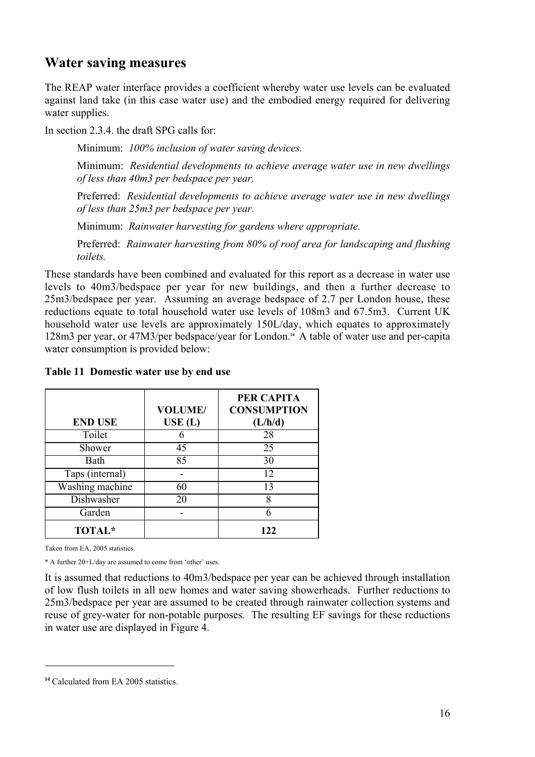# Water saving measures

The REAP water interface provides a coefficient whereby water use levels can be evaluated against land take (in this case water use) and the embodied energy required for delivering water supplies.

In section 2.3.4. the draft SPG calls for:

Minimum: *100% inclusion of water saving devices.*

Minimum: *Residential developments to achieve average water use in new dwellings of less than 40m3 per bedspace per year.*

Preferred: *Residential developments to achieve average water use in new dwellings of less than 25m3 per bedspace per year.*

Minimum: *Rainwater harvesting for gardens where appropriate.*

Preferred: *Rainwater harvesting from 80% of roof area for landscaping and flushing toilets.*

These standards have been combined and evaluated for this report as a decrease in water use levels to 40m3/bedspace per year for new buildings, and then a further decrease to 25m3/bedspace per year. Assuming an average bedspace of 2.7 per London house, these reductions equate to total household water use levels of 108m3 and 67.5m3. Current UK household water use levels are approximately 150L/day, which equates to approximately 128m3 per year, or 47M3/per bedspace/year for London.<sup>14</sup> A table of water use and per-capita water consumption is provided below:

| <b>END USE</b>    | <b>VOLUME/</b><br>USE(L) | PER CAPITA<br><b>CONSUMPTION</b><br>(L/h/d) |
|-------------------|--------------------------|---------------------------------------------|
| Toilet            |                          | 28                                          |
| Shower            | 45                       | 25                                          |
| Bath              | 85                       | 30                                          |
| Taps (internal)   |                          | 12                                          |
| Washing machine   | 60                       | 13                                          |
| <b>Dishwasher</b> | 20                       | 8                                           |
| Garden            |                          |                                             |
| <b>TOTAL*</b>     |                          | 122                                         |

#### Table 11 Domestic water use by end use

Taken from EA, 2005 statistics.

\* A further 20+L/day are assumed to come from 'other' uses.

It is assumed that reductions to 40m3/bedspace per year can be achieved through installation of low flush toilets in all new homes and water saving showerheads. Further reductions to 25m3/bedspace per year are assumed to be created through rainwater collection systems and reuse of grey-water for non-potable purposes. The resulting EF savings for these reductions in water use are displayed in Figure 4.

 $\overline{a}$ 

<sup>&</sup>lt;sup>14</sup> Calculated from EA 2005 statistics.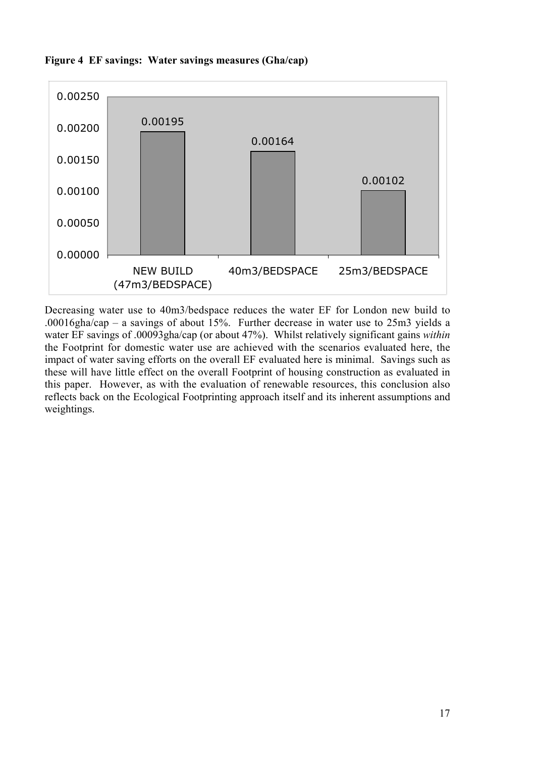

Figure 4 EF savings: Water savings measures (Gha/cap)

Decreasing water use to 40m3/bedspace reduces the water EF for London new build to .00016gha/cap – a savings of about 15%. Further decrease in water use to 25m3 yields a water EF savings of .00093gha/cap (or about 47%). Whilst relatively significant gains *within* the Footprint for domestic water use are achieved with the scenarios evaluated here, the impact of water saving efforts on the overall EF evaluated here is minimal. Savings such as these will have little effect on the overall Footprint of housing construction as evaluated in this paper. However, as with the evaluation of renewable resources, this conclusion also reflects back on the Ecological Footprinting approach itself and its inherent assumptions and weightings.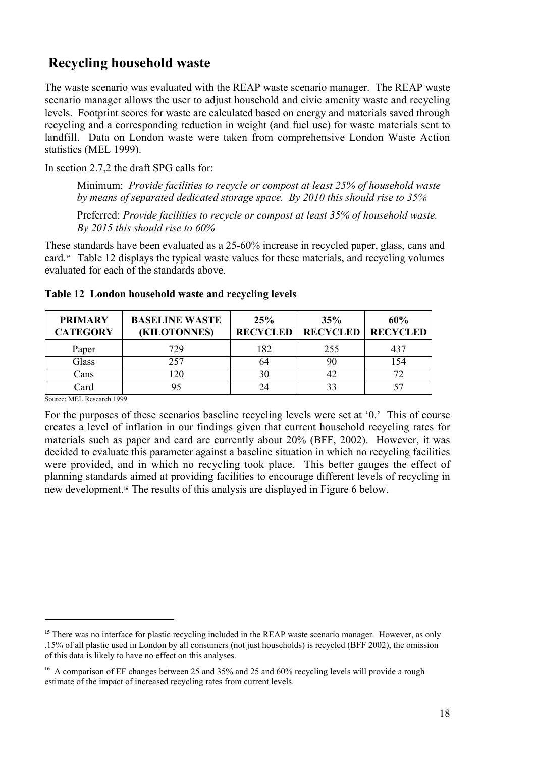## Recycling household waste

The waste scenario was evaluated with the REAP waste scenario manager. The REAP waste scenario manager allows the user to adjust household and civic amenity waste and recycling levels. Footprint scores for waste are calculated based on energy and materials saved through recycling and a corresponding reduction in weight (and fuel use) for waste materials sent to landfill. Data on London waste were taken from comprehensive London Waste Action statistics (MEL 1999).

In section 2.7,2 the draft SPG calls for:

Minimum: *Provide facilities to recycle or compost at least 25% of household waste by means of separated dedicated storage space. By 2010 this should rise to 35%*

Preferred: *Provide facilities to recycle or compost at least 35% of household waste. By 2015 this should rise to 60%*

These standards have been evaluated as a 25-60% increase in recycled paper, glass, cans and card.<sup>15</sup> Table 12 displays the typical waste values for these materials, and recycling volumes evaluated for each of the standards above.

| <b>PRIMARY</b><br><b>CATEGORY</b> | <b>BASELINE WASTE</b><br>(KILOTONNES) | 25%<br><b>RECYCLED</b> | 35%<br><b>RECYCLED</b> | 60%<br><b>RECYCLED</b> |
|-----------------------------------|---------------------------------------|------------------------|------------------------|------------------------|
| Paper                             | 729                                   | 182                    | 255                    | 437                    |
| Glass                             | 257                                   | 64                     |                        |                        |
| ∠ans                              |                                       | 30                     |                        |                        |
| `ard                              |                                       |                        | 22                     |                        |

#### Table 12 London household waste and recycling levels

Source: MEL Research 1999

 $\overline{a}$ 

For the purposes of these scenarios baseline recycling levels were set at '0.' This of course creates a level of inflation in our findings given that current household recycling rates for materials such as paper and card are currently about 20% (BFF, 2002). However, it was decided to evaluate this parameter against a baseline situation in which no recycling facilities were provided, and in which no recycling took place. This better gauges the effect of planning standards aimed at providing facilities to encourage different levels of recycling in new development.<sup>16</sup> The results of this analysis are displayed in Figure 6 below.

<sup>&</sup>lt;sup>15</sup> There was no interface for plastic recycling included in the REAP waste scenario manager. However, as only .15% of all plastic used in London by all consumers (not just households) is recycled (BFF 2002), the omission of this data is likely to have no effect on this analyses.

<sup>&</sup>lt;sup>16</sup> A comparison of EF changes between 25 and 35% and 25 and 60% recycling levels will provide a rough estimate of the impact of increased recycling rates from current levels.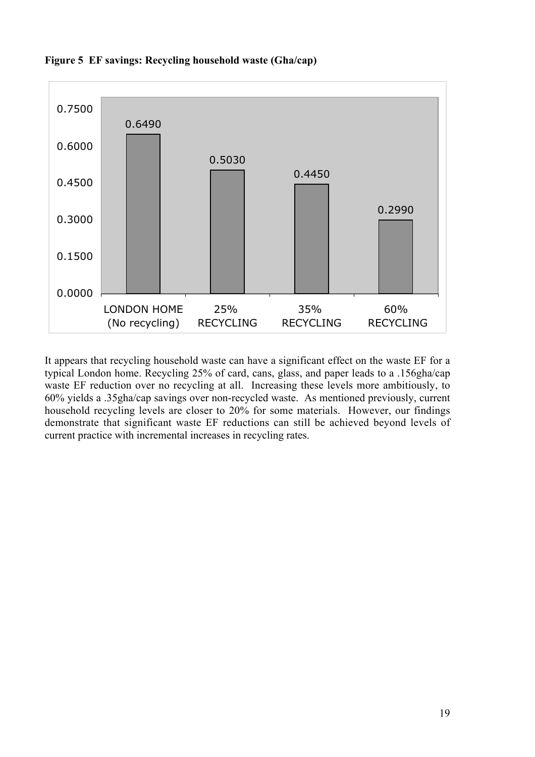

Figure 5 EF savings: Recycling household waste (Gha/cap)

It appears that recycling household waste can have a significant effect on the waste EF for a typical London home. Recycling 25% of card, cans, glass, and paper leads to a .156gha/cap waste EF reduction over no recycling at all. Increasing these levels more ambitiously, to 60% yields a .35gha/cap savings over non-recycled waste. As mentioned previously, current household recycling levels are closer to 20% for some materials. However, our findings demonstrate that significant waste EF reductions can still be achieved beyond levels of current practice with incremental increases in recycling rates.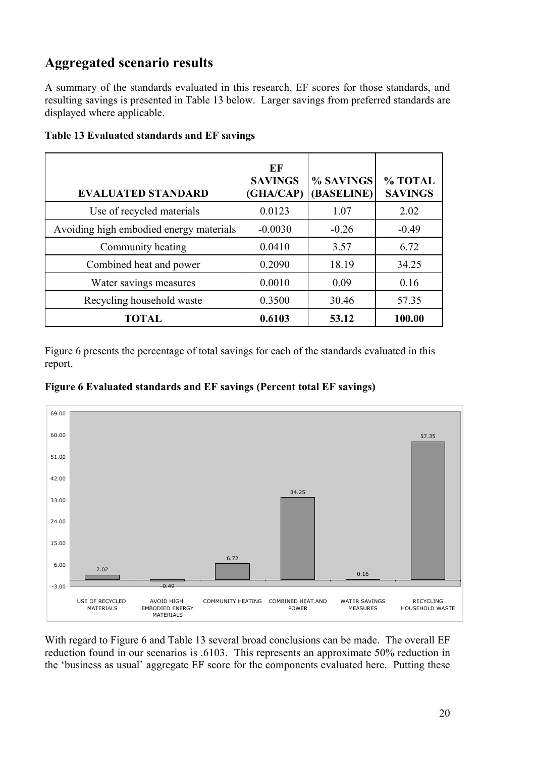# Aggregated scenario results

A summary of the standards evaluated in this research, EF scores for those standards, and resulting savings is presented in Table 13 below. Larger savings from preferred standards are displayed where applicable.

| <b>EVALUATED STANDARD</b>               | EF<br><b>SAVINGS</b><br>(GHA/CAP) | % SAVINGS<br>(BASELINE) | % TOTAL<br><b>SAVINGS</b> |
|-----------------------------------------|-----------------------------------|-------------------------|---------------------------|
| Use of recycled materials               | 0.0123                            | 1.07                    | 2.02                      |
| Avoiding high embodied energy materials | $-0.0030$                         | $-0.26$                 | $-0.49$                   |
| Community heating                       | 0.0410                            | 3.57                    | 6.72                      |
| Combined heat and power                 | 0.2090                            | 18.19                   | 34.25                     |
| Water savings measures                  | 0.0010                            | 0.09                    | 0.16                      |
| Recycling household waste               | 0.3500                            | 30.46                   | 57.35                     |
| <b>TOTAL</b>                            | 0.6103                            | 53.12                   | 100.00                    |

## Table 13 Evaluated standards and EF savings

Figure 6 presents the percentage of total savings for each of the standards evaluated in this report.





With regard to Figure 6 and Table 13 several broad conclusions can be made. The overall EF reduction found in our scenarios is .6103. This represents an approximate 50% reduction in the 'business as usual' aggregate EF score for the components evaluated here. Putting these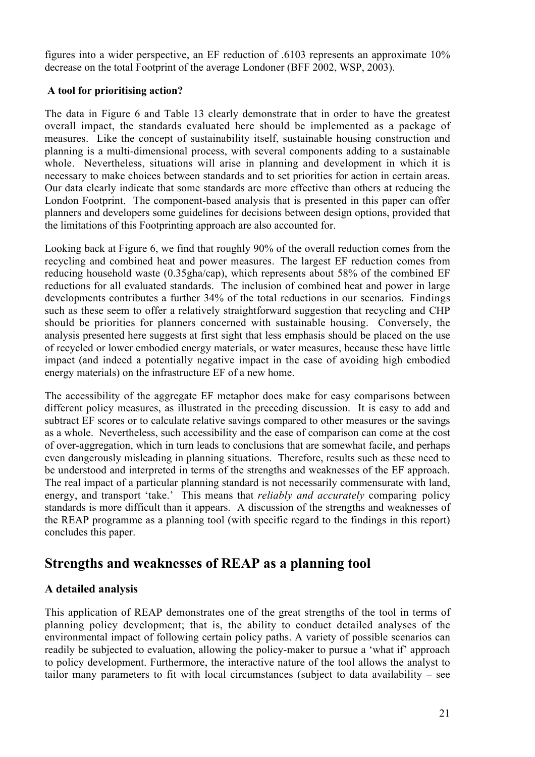figures into a wider perspective, an EF reduction of .6103 represents an approximate 10% decrease on the total Footprint of the average Londoner (BFF 2002, WSP, 2003).

### A tool for prioritising action?

The data in Figure 6 and Table 13 clearly demonstrate that in order to have the greatest overall impact, the standards evaluated here should be implemented as a package of measures. Like the concept of sustainability itself, sustainable housing construction and planning is a multi-dimensional process, with several components adding to a sustainable whole. Nevertheless, situations will arise in planning and development in which it is necessary to make choices between standards and to set priorities for action in certain areas. Our data clearly indicate that some standards are more effective than others at reducing the London Footprint. The component-based analysis that is presented in this paper can offer planners and developers some guidelines for decisions between design options, provided that the limitations of this Footprinting approach are also accounted for.

Looking back at Figure 6, we find that roughly 90% of the overall reduction comes from the recycling and combined heat and power measures. The largest EF reduction comes from reducing household waste (0.35gha/cap), which represents about 58% of the combined EF reductions for all evaluated standards. The inclusion of combined heat and power in large developments contributes a further 34% of the total reductions in our scenarios. Findings such as these seem to offer a relatively straightforward suggestion that recycling and CHP should be priorities for planners concerned with sustainable housing. Conversely, the analysis presented here suggests at first sight that less emphasis should be placed on the use of recycled or lower embodied energy materials, or water measures, because these have little impact (and indeed a potentially negative impact in the case of avoiding high embodied energy materials) on the infrastructure EF of a new home.

The accessibility of the aggregate EF metaphor does make for easy comparisons between different policy measures, as illustrated in the preceding discussion. It is easy to add and subtract EF scores or to calculate relative savings compared to other measures or the savings as a whole. Nevertheless, such accessibility and the ease of comparison can come at the cost of over-aggregation, which in turn leads to conclusions that are somewhat facile, and perhaps even dangerously misleading in planning situations. Therefore, results such as these need to be understood and interpreted in terms of the strengths and weaknesses of the EF approach. The real impact of a particular planning standard is not necessarily commensurate with land, energy, and transport 'take.' This means that *reliably and accurately* comparing policy standards is more difficult than it appears. A discussion of the strengths and weaknesses of the REAP programme as a planning tool (with specific regard to the findings in this report) concludes this paper.

## Strengths and weaknesses of REAP as a planning tool

## A detailed analysis

This application of REAP demonstrates one of the great strengths of the tool in terms of planning policy development; that is, the ability to conduct detailed analyses of the environmental impact of following certain policy paths. A variety of possible scenarios can readily be subjected to evaluation, allowing the policy-maker to pursue a 'what if' approach to policy development. Furthermore, the interactive nature of the tool allows the analyst to tailor many parameters to fit with local circumstances (subject to data availability – see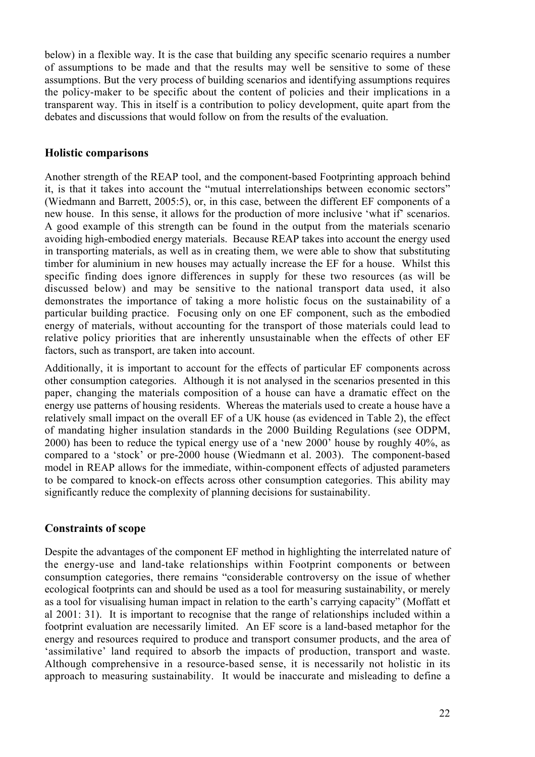below) in a flexible way. It is the case that building any specific scenario requires a number of assumptions to be made and that the results may well be sensitive to some of these assumptions. But the very process of building scenarios and identifying assumptions requires the policy-maker to be specific about the content of policies and their implications in a transparent way. This in itself is a contribution to policy development, quite apart from the debates and discussions that would follow on from the results of the evaluation.

### Holistic comparisons

Another strength of the REAP tool, and the component-based Footprinting approach behind it, is that it takes into account the "mutual interrelationships between economic sectors" (Wiedmann and Barrett, 2005:5), or, in this case, between the different EF components of a new house. In this sense, it allows for the production of more inclusive 'what if' scenarios. A good example of this strength can be found in the output from the materials scenario avoiding high-embodied energy materials. Because REAP takes into account the energy used in transporting materials, as well as in creating them, we were able to show that substituting timber for aluminium in new houses may actually increase the EF for a house. Whilst this specific finding does ignore differences in supply for these two resources (as will be discussed below) and may be sensitive to the national transport data used, it also demonstrates the importance of taking a more holistic focus on the sustainability of a particular building practice. Focusing only on one EF component, such as the embodied energy of materials, without accounting for the transport of those materials could lead to relative policy priorities that are inherently unsustainable when the effects of other EF factors, such as transport, are taken into account.

Additionally, it is important to account for the effects of particular EF components across other consumption categories. Although it is not analysed in the scenarios presented in this paper, changing the materials composition of a house can have a dramatic effect on the energy use patterns of housing residents. Whereas the materials used to create a house have a relatively small impact on the overall EF of a UK house (as evidenced in Table 2), the effect of mandating higher insulation standards in the 2000 Building Regulations (see ODPM, 2000) has been to reduce the typical energy use of a 'new 2000' house by roughly 40%, as compared to a 'stock' or pre-2000 house (Wiedmann et al. 2003). The component-based model in REAP allows for the immediate, within-component effects of adjusted parameters to be compared to knock-on effects across other consumption categories. This ability may significantly reduce the complexity of planning decisions for sustainability.

## Constraints of scope

Despite the advantages of the component EF method in highlighting the interrelated nature of the energy-use and land-take relationships within Footprint components or between consumption categories, there remains "considerable controversy on the issue of whether ecological footprints can and should be used as a tool for measuring sustainability, or merely as a tool for visualising human impact in relation to the earth's carrying capacity" (Moffatt et al 2001: 31). It is important to recognise that the range of relationships included within a footprint evaluation are necessarily limited. An EF score is a land-based metaphor for the energy and resources required to produce and transport consumer products, and the area of 'assimilative' land required to absorb the impacts of production, transport and waste. Although comprehensive in a resource-based sense, it is necessarily not holistic in its approach to measuring sustainability. It would be inaccurate and misleading to define a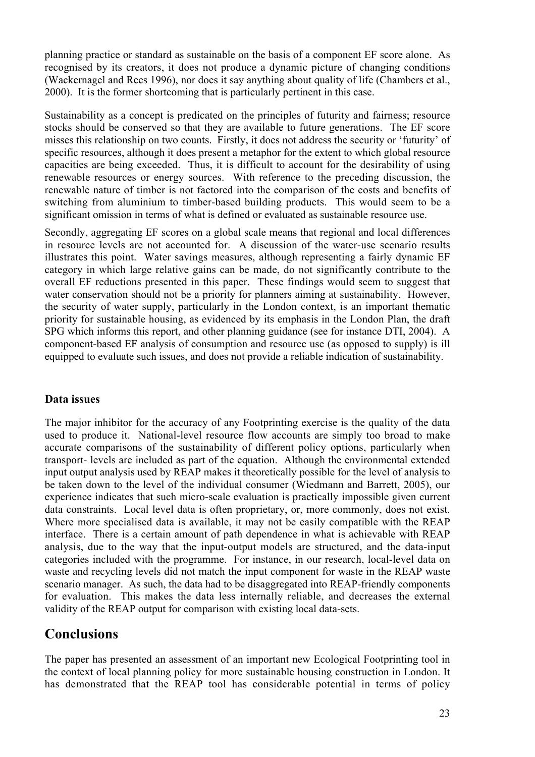planning practice or standard as sustainable on the basis of a component EF score alone. As recognised by its creators, it does not produce a dynamic picture of changing conditions (Wackernagel and Rees 1996), nor does it say anything about quality of life (Chambers et al., 2000). It is the former shortcoming that is particularly pertinent in this case.

Sustainability as a concept is predicated on the principles of futurity and fairness; resource stocks should be conserved so that they are available to future generations. The EF score misses this relationship on two counts. Firstly, it does not address the security or 'futurity' of specific resources, although it does present a metaphor for the extent to which global resource capacities are being exceeded. Thus, it is difficult to account for the desirability of using renewable resources or energy sources. With reference to the preceding discussion, the renewable nature of timber is not factored into the comparison of the costs and benefits of switching from aluminium to timber-based building products. This would seem to be a significant omission in terms of what is defined or evaluated as sustainable resource use.

Secondly, aggregating EF scores on a global scale means that regional and local differences in resource levels are not accounted for. A discussion of the water-use scenario results illustrates this point. Water savings measures, although representing a fairly dynamic EF category in which large relative gains can be made, do not significantly contribute to the overall EF reductions presented in this paper. These findings would seem to suggest that water conservation should not be a priority for planners aiming at sustainability. However, the security of water supply, particularly in the London context, is an important thematic priority for sustainable housing, as evidenced by its emphasis in the London Plan, the draft SPG which informs this report, and other planning guidance (see for instance DTI, 2004). A component-based EF analysis of consumption and resource use (as opposed to supply) is ill equipped to evaluate such issues, and does not provide a reliable indication of sustainability.

### Data issues

The major inhibitor for the accuracy of any Footprinting exercise is the quality of the data used to produce it. National-level resource flow accounts are simply too broad to make accurate comparisons of the sustainability of different policy options, particularly when transport- levels are included as part of the equation. Although the environmental extended input output analysis used by REAP makes it theoretically possible for the level of analysis to be taken down to the level of the individual consumer (Wiedmann and Barrett, 2005), our experience indicates that such micro-scale evaluation is practically impossible given current data constraints. Local level data is often proprietary, or, more commonly, does not exist. Where more specialised data is available, it may not be easily compatible with the REAP interface. There is a certain amount of path dependence in what is achievable with REAP analysis, due to the way that the input-output models are structured, and the data-input categories included with the programme. For instance, in our research, local-level data on waste and recycling levels did not match the input component for waste in the REAP waste scenario manager. As such, the data had to be disaggregated into REAP-friendly components for evaluation. This makes the data less internally reliable, and decreases the external validity of the REAP output for comparison with existing local data-sets.

## Conclusions

The paper has presented an assessment of an important new Ecological Footprinting tool in the context of local planning policy for more sustainable housing construction in London. It has demonstrated that the REAP tool has considerable potential in terms of policy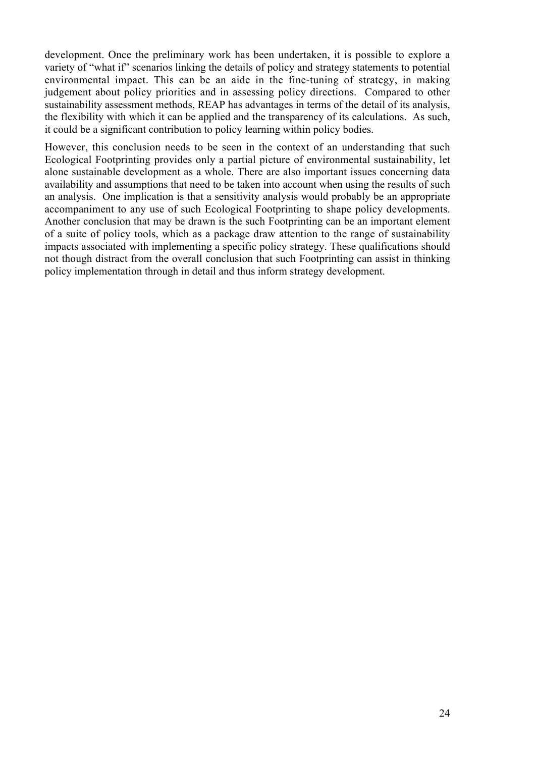development. Once the preliminary work has been undertaken, it is possible to explore a variety of "what if" scenarios linking the details of policy and strategy statements to potential environmental impact. This can be an aide in the fine-tuning of strategy, in making judgement about policy priorities and in assessing policy directions. Compared to other sustainability assessment methods, REAP has advantages in terms of the detail of its analysis, the flexibility with which it can be applied and the transparency of its calculations. As such, it could be a significant contribution to policy learning within policy bodies.

However, this conclusion needs to be seen in the context of an understanding that such Ecological Footprinting provides only a partial picture of environmental sustainability, let alone sustainable development as a whole. There are also important issues concerning data availability and assumptions that need to be taken into account when using the results of such an analysis. One implication is that a sensitivity analysis would probably be an appropriate accompaniment to any use of such Ecological Footprinting to shape policy developments. Another conclusion that may be drawn is the such Footprinting can be an important element of a suite of policy tools, which as a package draw attention to the range of sustainability impacts associated with implementing a specific policy strategy. These qualifications should not though distract from the overall conclusion that such Footprinting can assist in thinking policy implementation through in detail and thus inform strategy development.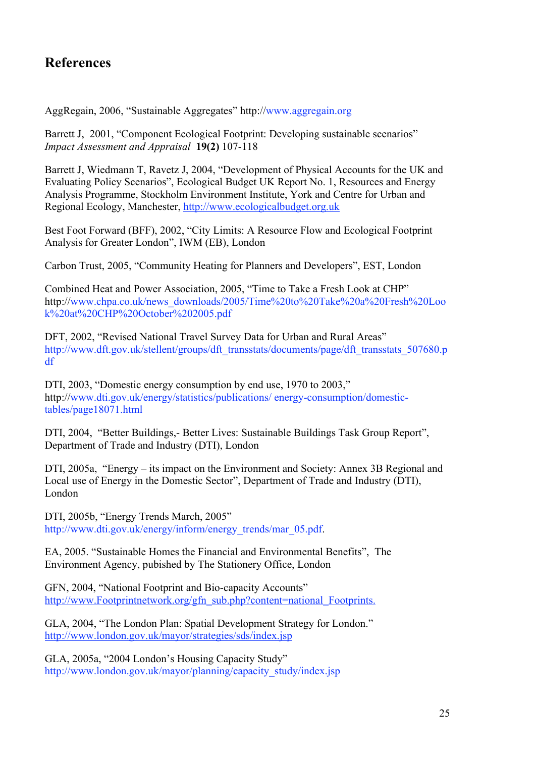# References

AggRegain, 2006, "Sustainable Aggregates" http://www.aggregain.org

Barrett J, 2001, "Component Ecological Footprint: Developing sustainable scenarios" *Impact Assessment and Appraisal* 19(2) 107-118

Barrett J, Wiedmann T, Ravetz J, 2004, "Development of Physical Accounts for the UK and Evaluating Policy Scenarios", Ecological Budget UK Report No. 1, Resources and Energy Analysis Programme, Stockholm Environment Institute, York and Centre for Urban and Regional Ecology, Manchester, http://www.ecologicalbudget.org.uk

Best Foot Forward (BFF), 2002, "City Limits: A Resource Flow and Ecological Footprint Analysis for Greater London", IWM (EB), London

Carbon Trust, 2005, "Community Heating for Planners and Developers", EST, London

Combined Heat and Power Association, 2005, "Time to Take a Fresh Look at CHP" http://www.chpa.co.uk/news\_downloads/2005/Time%20to%20Take%20a%20Fresh%20Loo k%20at%20CHP%20October%202005.pdf

DFT, 2002, "Revised National Travel Survey Data for Urban and Rural Areas" http://www.dft.gov.uk/stellent/groups/dft\_transstats/documents/page/dft\_transstats\_507680.p df

DTI, 2003, "Domestic energy consumption by end use, 1970 to 2003," http://www.dti.gov.uk/energy/statistics/publications/ energy-consumption/domestictables/page18071.html

DTI, 2004, "Better Buildings,- Better Lives: Sustainable Buildings Task Group Report", Department of Trade and Industry (DTI), London

DTI, 2005a, "Energy – its impact on the Environment and Society: Annex 3B Regional and Local use of Energy in the Domestic Sector", Department of Trade and Industry (DTI), London

DTI, 2005b, "Energy Trends March, 2005" http://www.dti.gov.uk/energy/inform/energy\_trends/mar\_05.pdf.

EA, 2005. "Sustainable Homes the Financial and Environmental Benefits", The Environment Agency, pubished by The Stationery Office, London

GFN, 2004, "National Footprint and Bio-capacity Accounts" http://www.Footprintnetwork.org/gfn\_sub.php?content=national\_Footprints.

GLA, 2004, "The London Plan: Spatial Development Strategy for London." http://www.london.gov.uk/mayor/strategies/sds/index.jsp

GLA, 2005a, "2004 London's Housing Capacity Study" http://www.london.gov.uk/mayor/planning/capacity\_study/index.isp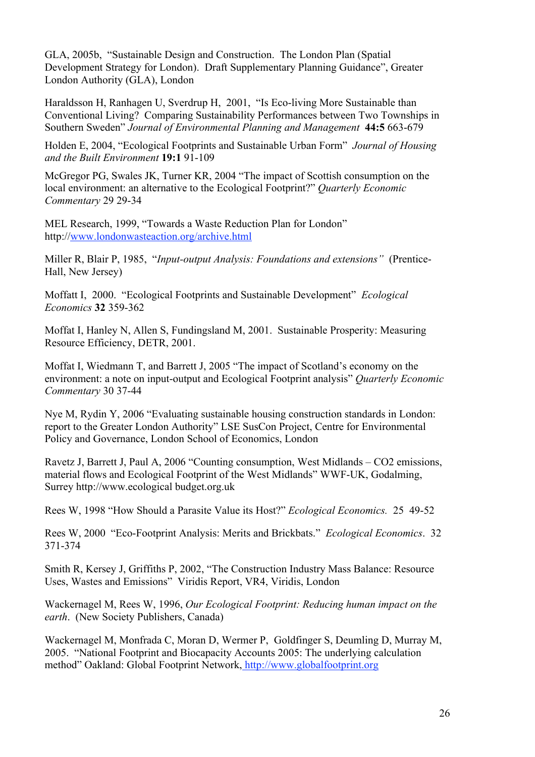GLA, 2005b, "Sustainable Design and Construction. The London Plan (Spatial Development Strategy for London). Draft Supplementary Planning Guidance", Greater London Authority (GLA), London

Haraldsson H, Ranhagen U, Sverdrup H, 2001, "Is Eco-living More Sustainable than Conventional Living? Comparing Sustainability Performances between Two Townships in Southern Sweden" *Journal of Environmental Planning and Management* 44:5 663-679

Holden E, 2004, "Ecological Footprints and Sustainable Urban Form" *Journal of Housing and the Built Environment* 19:1 91-109

McGregor PG, Swales JK, Turner KR, 2004 "The impact of Scottish consumption on the local environment: an alternative to the Ecological Footprint?" *Quarterly Economic Commentary* 29 29-34

MEL Research, 1999, "Towards a Waste Reduction Plan for London" http://www.londonwasteaction.org/archive.html

Miller R, Blair P, 1985, "*Input-output Analysis: Foundations and extensions"* (Prentice-Hall, New Jersey)

Moffatt I, 2000. "Ecological Footprints and Sustainable Development" *Ecological Economics* 32 359-362

Moffat I, Hanley N, Allen S, Fundingsland M, 2001. Sustainable Prosperity: Measuring Resource Efficiency, DETR, 2001.

Moffat I, Wiedmann T, and Barrett J, 2005 "The impact of Scotland's economy on the environment: a note on input-output and Ecological Footprint analysis" *Quarterly Economic Commentary* 30 37-44

Nye M, Rydin Y, 2006 "Evaluating sustainable housing construction standards in London: report to the Greater London Authority" LSE SusCon Project, Centre for Environmental Policy and Governance, London School of Economics, London

Ravetz J, Barrett J, Paul A, 2006 "Counting consumption, West Midlands – CO2 emissions, material flows and Ecological Footprint of the West Midlands" WWF-UK, Godalming, Surrey http://www.ecological budget.org.uk

Rees W, 1998 "How Should a Parasite Value its Host?" *Ecological Economics.* 25 49-52

Rees W, 2000 "Eco-Footprint Analysis: Merits and Brickbats." *Ecological Economics*. 32 371-374

Smith R, Kersey J, Griffiths P, 2002, "The Construction Industry Mass Balance: Resource Uses, Wastes and Emissions" Viridis Report, VR4, Viridis, London

Wackernagel M, Rees W, 1996, *Our Ecological Footprint: Reducing human impact on the earth*. (New Society Publishers, Canada)

Wackernagel M, Monfrada C, Moran D, Wermer P, Goldfinger S, Deumling D, Murray M, 2005. "National Footprint and Biocapacity Accounts 2005: The underlying calculation method" Oakland: Global Footprint Network, http://www.globalfootprint.org